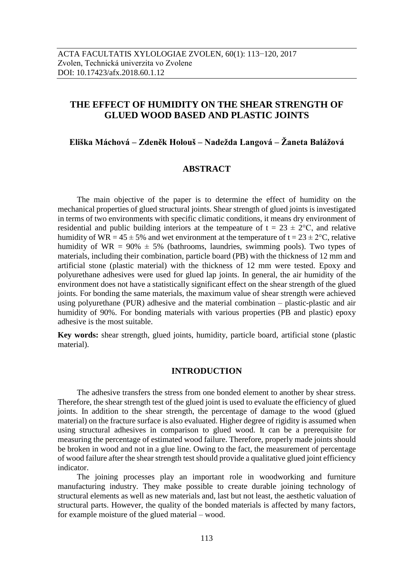# **THE EFFECT OF HUMIDITY ON THE SHEAR STRENGTH OF GLUED WOOD BASED AND PLASTIC JOINTS**

## **Eliška Máchová – Zdeněk Holouš – Nadežda Langová – Žaneta Balážová**

## **ABSTRACT**

The main objective of the paper is to determine the effect of humidity on the mechanical properties of glued structural joints. Shear strength of glued joints is investigated in terms of two environments with specific climatic conditions, it means dry environment of residential and public building interiors at the tempeature of  $t = 23 \pm 2$ °C, and relative humidity of WR =  $45 \pm 5\%$  and wet environment at the temperature of t =  $23 \pm 2\degree$ C, relative humidity of WR =  $90\% \pm 5\%$  (bathrooms, laundries, swimming pools). Two types of materials, including their combination, particle board (PB) with the thickness of 12 mm and artificial stone (plastic material) with the thickness of 12 mm were tested. Epoxy and polyurethane adhesives were used for glued lap joints. In general, the air humidity of the environment does not have a statistically significant effect on the shear strength of the glued joints. For bonding the same materials, the maximum value of shear strength were achieved using polyurethane (PUR) adhesive and the material combination – plastic-plastic and air humidity of 90%. For bonding materials with various properties (PB and plastic) epoxy adhesive is the most suitable.

**Key words:** shear strength, glued joints, humidity, particle board, artificial stone (plastic material).

### **INTRODUCTION**

The adhesive transfers the stress from one bonded element to another by shear stress. Therefore, the shear strength test of the glued joint is used to evaluate the efficiency of glued joints. In addition to the shear strength, the percentage of damage to the wood (glued material) on the fracture surface is also evaluated. Higher degree of rigidity is assumed when using structural adhesives in comparison to glued wood. It can be a prerequisite for measuring the percentage of estimated wood failure. Therefore, properly made joints should be broken in wood and not in a glue line. Owing to the fact, the measurement of percentage of wood failure after the shear strength test should provide a qualitative glued joint efficiency indicator.

The joining processes play an important role in woodworking and furniture manufacturing industry. They make possible to create durable joining technology of structural elements as well as new materials and, last but not least, the aesthetic valuation of structural parts. However, the quality of the bonded materials is affected by many factors, for example moisture of the glued material – wood.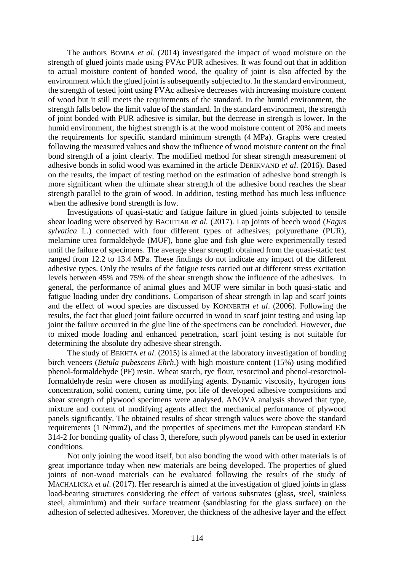The authors BOMBA *et al*. (2014) investigated the impact of wood moisture on the strength of glued joints made using PVAc PUR adhesives. It was found out that in addition to actual moisture content of bonded wood, the quality of joint is also affected by the environment which the glued joint is subsequently subjected to. In the standard environment, the strength of tested joint using PVAc adhesive decreases with increasing moisture content of wood but it still meets the requirements of the standard. In the humid environment, the strength falls below the limit value of the standard. In the standard environment, the strength of joint bonded with PUR adhesive is similar, but the decrease in strength is lower. In the humid environment, the highest strength is at the wood moisture content of 20% and meets the requirements for specific standard minimum strength (4 MPa). Graphs were created following the measured values and show the influence of wood moisture content on the final bond strength of a joint clearly. The modified method for shear strength measurement of adhesive bonds in solid wood was examined in the article DERIKVAND *et al*. (2016). Based on the results, the impact of testing method on the estimation of adhesive bond strength is more significant when the ultimate shear strength of the adhesive bond reaches the shear strength parallel to the grain of wood. In addition, testing method has much less influence when the adhesive bond strength is low.

Investigations of quasi-static and fatigue failure in glued joints subjected to tensile shear loading were observed by BACHTIAR *et al.* (2017). Lap joints of beech wood (*Fagus sylvatica* L.) connected with four different types of adhesives; polyurethane (PUR), melamine urea formaldehyde (MUF), bone glue and fish glue were experimentally tested until the failure of specimens. The average shear strength obtained from the quasi-static test ranged from 12.2 to 13.4 MPa. These findings do not indicate any impact of the different adhesive types. Only the results of the fatigue tests carried out at different stress excitation levels between 45% and 75% of the shear strength show the influence of the adhesives. In general, the performance of animal glues and MUF were similar in both quasi-static and fatigue loading under dry conditions. Comparison of shear strength in lap and scarf joints and the effect of wood species are discussed by KONNERTH *et al*. (2006). Following the results, the fact that glued joint failure occurred in wood in scarf joint testing and using lap joint the failure occurred in the glue line of the specimens can be concluded. However, due to mixed mode loading and enhanced penetration, scarf joint testing is not suitable for determining the absolute dry adhesive shear strength.

The study of BEKHTA *et al*. (2015) is aimed at the laboratory investigation of bonding birch veneers (*Betula pubescens Ehrh*.) with high moisture content (15%) using modified phenol-formaldehyde (PF) resin. Wheat starch, rye flour, resorcinol and phenol-resorcinolformaldehyde resin were chosen as modifying agents. Dynamic viscosity, hydrogen ions concentration, solid content, curing time, pot life of developed adhesive compositions and shear strength of plywood specimens were analysed. ANOVA analysis showed that type, mixture and content of modifying agents affect the mechanical performance of plywood panels significantly. The obtained results of shear strength values were above the standard requirements (1 N/mm2), and the properties of specimens met the European standard EN 314-2 for bonding quality of class 3, therefore, such plywood panels can be used in exterior conditions.

Not only joining the wood itself, but also bonding the wood with other materials is of great importance today when new materials are being developed. The properties of glued joints of non-wood materials can be evaluated following the results of the study of MACHALICKÁ *et al*. (2017). Her research is aimed at the investigation of glued joints in glass load-bearing structures considering the effect of various substrates (glass, steel, stainless steel, aluminium) and their surface treatment (sandblasting for the glass surface) on the adhesion of selected adhesives. Moreover, the thickness of the adhesive layer and the effect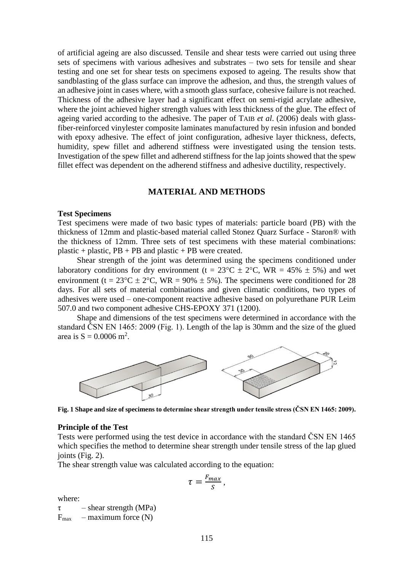of artificial ageing are also discussed. Tensile and shear tests were carried out using three sets of specimens with various adhesives and substrates – two sets for tensile and shear testing and one set for shear tests on specimens exposed to ageing. The results show that sandblasting of the glass surface can improve the adhesion, and thus, the strength values of an adhesive joint in cases where, with a smooth glass surface, cohesive failure is not reached. Thickness of the adhesive layer had a significant effect on semi-rigid acrylate adhesive, where the joint achieved higher strength values with less thickness of the glue. The effect of ageing varied according to the adhesive. The paper of TAIB *et al*. (2006) deals with glassfiber-reinforced vinylester composite laminates manufactured by resin infusion and bonded with epoxy adhesive. The effect of joint configuration, adhesive layer thickness, defects, humidity, spew fillet and adherend stiffness were investigated using the tension tests. Investigation of the spew fillet and adherend stiffness for the lap joints showed that the spew fillet effect was dependent on the adherend stiffness and adhesive ductility, respectively.

## **MATERIAL AND METHODS**

#### **Test Specimens**

Test specimens were made of two basic types of materials: particle board (PB) with the thickness of 12mm and plastic-based material called Stonez Quarz Surface - Staron® with the thickness of 12mm. Three sets of test specimens with these material combinations: plastic + plastic,  $PB$  + PB and plastic + PB were created.

Shear strength of the joint was determined using the specimens conditioned under laboratory conditions for dry environment (t =  $23^{\circ}$ C ±  $2^{\circ}$ C, WR = 45%  $\pm$  5%) and wet environment (t =  $23^{\circ}$ C  $\pm$  2°C, WR = 90%  $\pm$  5%). The specimens were conditioned for 28 days. For all sets of material combinations and given climatic conditions, two types of adhesives were used – one-component reactive adhesive based on polyurethane PUR Leim 507.0 and two component adhesive CHS-EPOXY 371 (1200).

Shape and dimensions of the test specimens were determined in accordance with the standard ČSN EN 1465: 2009 (Fig. 1). Length of the lap is 30mm and the size of the glued area is  $S = 0.0006$  m<sup>2</sup>.



**Fig. 1 Shape and size of specimens to determine shear strength under tensile stress (ČSN EN 1465: 2009).**

#### **Principle of the Test**

Tests were performed using the test device in accordance with the standard ČSN EN 1465 which specifies the method to determine shear strength under tensile stress of the lap glued joints (Fig. 2).

The shear strength value was calculated according to the equation:

$$
\tau = \frac{F_{max}}{S},
$$

where:

 $\tau$  – shear strength (MPa)  $F_{\text{max}}$  – maximum force (N)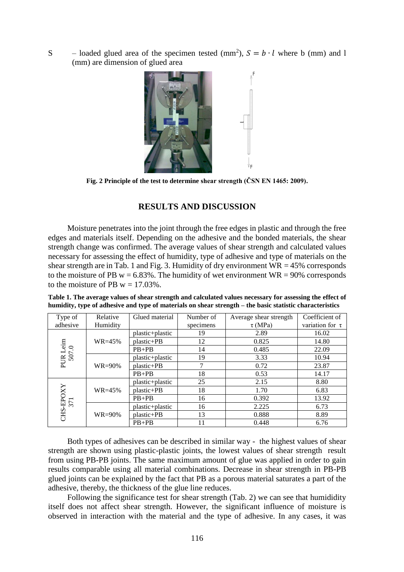S – loaded glued area of the specimen tested (mm<sup>2</sup>),  $S = b \cdot l$  where b (mm) and l (mm) are dimension of glued area



**Fig. 2 Principle of the test to determine shear strength (ČSN EN 1465: 2009).**

## **RESULTS AND DISCUSSION**

Moisture penetrates into the joint through the free edges in plastic and through the free edges and materials itself. Depending on the adhesive and the bonded materials, the shear strength change was confirmed. The average values of shear strength and calculated values necessary for assessing the effect of humidity, type of adhesive and type of materials on the shear strength are in Tab. 1 and Fig. 3. Humidity of dry environment  $WR = 45\%$  corresponds to the moisture of PB  $w = 6.83\%$ . The humidity of wet environment  $WR = 90\%$  corresponds to the moisture of PB  $w = 17.03\%$ .

**Table 1. The average values of shear strength and calculated values necessary for assessing the effect of humidity, type of adhesive and type of materials on shear strength – the basic statistic characteristics** 

| Relative<br>Type of                                            |             | Glued material  | Number of | Average shear strength | Coefficient of       |  |
|----------------------------------------------------------------|-------------|-----------------|-----------|------------------------|----------------------|--|
| adhesive                                                       | Humidity    |                 | specimens | $\tau$ (MPa)           | variation for $\tau$ |  |
|                                                                |             | plastic+plastic | 19        | 2.89                   | 16.02                |  |
|                                                                | $WR = 45\%$ | plastic+PB      | 12        | 0.825                  | 14.80                |  |
| PUR Leim<br>507.0                                              |             | $PB+PB$         | 14        | 0.485                  | 22.09                |  |
|                                                                |             | plastic+plastic | 19        | 3.33                   | 10.94                |  |
|                                                                | $WR=90\%$   | plastic+PB      | 7         | 0.72                   | 23.87                |  |
|                                                                |             | $PB+PB$         | 18        | 0.53                   | 14.17                |  |
|                                                                |             | plastic+plastic | 25        | 2.15                   | 8.80                 |  |
|                                                                | $WR = 45\%$ | plastic+PB      | 18        | 1.70                   | 6.83                 |  |
|                                                                |             | $PB+PB$         | 16        | 0.392                  | 13.92                |  |
|                                                                |             | plastic+plastic | 16        | 2.225                  | 6.73                 |  |
| $\begin{array}{c} \mathrm{CHS\text{-}EPOXY}\\ 371 \end{array}$ | $WR=90\%$   | plastic+PB      | 13        | 0.888                  | 8.89                 |  |
|                                                                |             | $PB+PB$         | 11        | 0.448                  | 6.76                 |  |

Both types of adhesives can be described in similar way - the highest values of shear strength are shown using plastic-plastic joints, the lowest values of shear strength result from using PB-PB joints. The same maximum amount of glue was applied in order to gain results comparable using all material combinations. Decrease in shear strength in PB-PB glued joints can be explained by the fact that PB as a porous material saturates a part of the adhesive, thereby, the thickness of the glue line reduces.

Following the significance test for shear strength (Tab. 2) we can see that humididity itself does not affect shear strength. However, the significant influence of moisture is observed in interaction with the material and the type of adhesive. In any cases, it was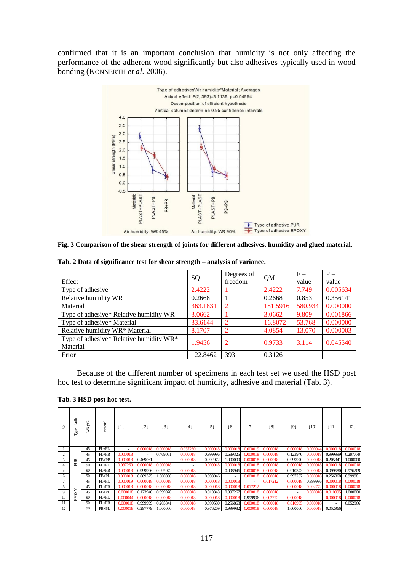confirmed that it is an important conclusion that humidity is not only affecting the performance of the adherent wood significantly but also adhesives typically used in wood bonding (KONNERTH *et al*. 2006).



**Fig. 3 Comparison of the shear strength of joints for different adhesives, humidity and glued material.**

|                                         | SQ       | Degrees of     | QM       | $F -$   | $P -$    |  |
|-----------------------------------------|----------|----------------|----------|---------|----------|--|
| Effect                                  |          | freedom        |          | value   | value    |  |
| Type of adhesive                        | 2.4222   |                | 2.4222   | 7.749   | 0.005634 |  |
| Relative humidity WR                    | 0.2668   |                | 0.2668   | 0.853   | 0.356141 |  |
| Material                                | 363.1831 | $\overline{2}$ | 181.5916 | 580.934 | 0.000000 |  |
| Type of adhesive* Relative humidity WR  | 3.0662   |                | 3.0662   | 9.809   | 0.001866 |  |
| Type of adhesive* Material              | 33.6144  | 2              | 16.8072  | 53.768  | 0.000000 |  |
| Relative humidity WR* Material          | 8.1707   | $\overline{2}$ | 4.0854   | 13.070  | 0.000003 |  |
| Type of adhesive* Relative humidity WR* | 1.9456   | 2              | 0.9733   | 3.114   | 0.045540 |  |
| Material                                |          |                |          |         |          |  |
| Error                                   | 122.8462 | 393            | 0.3126   |         |          |  |

**Tab. 2 Data of significance test for shear strength – analysis of variance.**

Because of the different number of specimens in each test set we used the HSD post hoc test to determine significant impact of humidity, adhesive and material (Tab. 3).

| ź. | न्नु<br>ಕ<br>$\ensuremath{\text{Type}}$ | $\circledast$<br>ΚŘ. | Material  | ${1}$    | ${2}$    | ${3}$    | ${4}$    | ${5}$    | ${6}$                    | $\{7\}$  | ${8}$    | $\{9\}$  | $\{10\}$                 | ${11}$   | ${12}$   |          |
|----|-----------------------------------------|----------------------|-----------|----------|----------|----------|----------|----------|--------------------------|----------|----------|----------|--------------------------|----------|----------|----------|
|    |                                         | 45                   | $PL+PL$   | $\sim$   | 0.000018 | 0.000018 | 0.037260 | 0.000018 | 0.000018                 | 0.000019 | 0.000018 | 0.000018 | 0.000044                 | 0.000018 | 0.000018 |          |
| 2  |                                         | 45                   | $PL + PB$ | 0.000018 | ٠        | 0.469061 | 0.000018 | 0.999996 | 0.689325                 | 0.000018 | 0.000018 | 0.123940 | 0.000018                 | 0.999999 | 0.297779 |          |
| 3  | PUR                                     | 45                   | $PB+PB$   | 0.000018 | 0.469061 | $\sim$   | 0.000018 | 0.992972 | 1.000000                 | 0.000018 | 0.000018 | 0.999970 | 0.000018                 | 0.205341 | 1.000000 |          |
| 4  |                                         | 90                   | $PL+PL$   | 0.037260 | 0.000018 | 0.000018 | ۰.       | 0.000018 | 0.000018                 | 0.000018 | 0.000018 | 0.000018 | 0.000018                 | 0.000018 | 0.000018 |          |
| 5  |                                         | 90                   | $PL + PB$ | 0.000018 | 0.999996 | 0.992972 | 0.000018 | $\sim$   | 0.998946                 | 0.000018 | 0.000018 | 0.910343 | 0.000018                 | 0.999580 | 0.976209 |          |
| 6  |                                         | 90                   | $PB+PL$   | 0.000018 | 0.689325 | 1.000000 | 0.000018 | 0.998946 | $\overline{\phantom{a}}$ | 0.000018 | 0.000018 | 0.997267 | 0.000018                 | 0.256868 | 0.999981 |          |
|    |                                         | 45                   | $PL+PL$   | 0.000019 | 0.000018 | 0.000018 | 0.000018 | 0.000018 | 0.000018                 | ۰        | 0.017212 | 0.00001  | 0.999996                 | 0.000018 | 0.000018 |          |
| 8  |                                         | 45                   | $PL + PB$ | 0.000018 | 0.000018 | 0.000018 | 0.000018 | 0.000018 | 0.000018                 | 0.017212 | $\sim$   | 0.00001  | 0.002772                 | 0.000018 | 0.000018 |          |
| 9  | EPOXY                                   |                      | 45        | $PB+PL$  | 0.000018 | 0.123940 | 0.999970 | 0.000018 | 0.910343                 | 0.997267 | 0.000018 | 0.000018 | $\overline{\phantom{a}}$ | 0.000018 | 0.010995 | 1.000000 |
| 10 |                                         | 90                   | $PL+PL$   | 0.000044 | 0.00001  | 0.000018 | 0.000018 | 0.000018 | 0.000018                 | 0.999996 | 0.002772 | 0.000018 | $\sim$                   | 0.000018 | 0.000018 |          |
| 11 |                                         | 90                   | $PL + PB$ | 0.000018 | 0.999999 | 0.205341 | 0.000018 | 0.999580 | 0.256868                 | 0.000018 | 0.000018 | 0.010995 | 0.000018                 | ٠        | 0.052966 |          |
| 12 |                                         | 90                   | $PB+PL$   | 0.000018 | 0.297779 | 1.000000 | 0.000018 | 0.976209 | 0.999982                 | 0.000018 | 0.000018 | 1.000000 | 0.000018                 | 0.052966 |          |          |

**Tab. 3 HSD post hoc test.**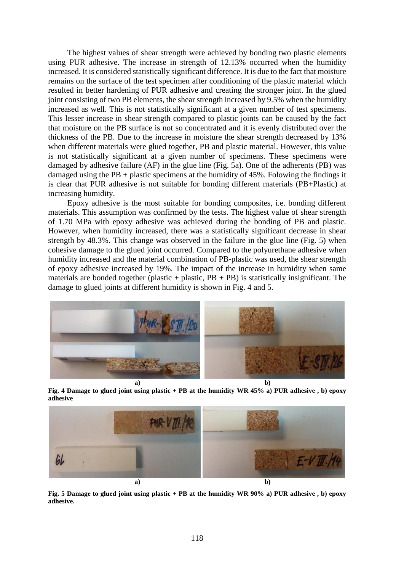The highest values of shear strength were achieved by bonding two plastic elements using PUR adhesive. The increase in strength of 12.13% occurred when the humidity increased. It is considered statistically significant difference. It is due to the fact that moisture remains on the surface of the test specimen after conditioning of the plastic material which resulted in better hardening of PUR adhesive and creating the stronger joint. In the glued joint consisting of two PB elements, the shear strength increased by 9.5% when the humidity increased as well. This is not statistically significant at a given number of test specimens. This lesser increase in shear strength compared to plastic joints can be caused by the fact that moisture on the PB surface is not so concentrated and it is evenly distributed over the thickness of the PB. Due to the increase in moisture the shear strength decreased by 13% when different materials were glued together, PB and plastic material. However, this value is not statistically significant at a given number of specimens. These specimens were damaged by adhesive failure (AF) in the glue line (Fig. 5a). One of the adherents (PB) was damaged using the PB + plastic specimens at the humidity of 45%. Folowing the findings it is clear that PUR adhesive is not suitable for bonding different materials (PB+Plastic) at increasing humidity.

Epoxy adhesive is the most suitable for bonding composites, i.e. bonding different materials. This assumption was confirmed by the tests. The highest value of shear strength of 1.70 MPa with epoxy adhesive was achieved during the bonding of PB and plastic. However, when humidity increased, there was a statistically significant decrease in shear strength by 48.3%. This change was observed in the failure in the glue line (Fig. 5) when cohesive damage to the glued joint occurred. Compared to the polyurethane adhesive when humidity increased and the material combination of PB-plastic was used, the shear strength of epoxy adhesive increased by 19%. The impact of the increase in humidity when same materials are bonded together (plastic + plastic,  $PB$  + PB) is statistically insignificant. The damage to glued joints at different humidity is shown in Fig. 4 and 5.



**Fig. 4 Damage to glued joint using plastic + PB at the humidity WR 45% a) PUR adhesive , b) epoxy adhesive**



**Fig. 5 Damage to glued joint using plastic + PB at the humidity WR 90% a) PUR adhesive , b) epoxy adhesive.**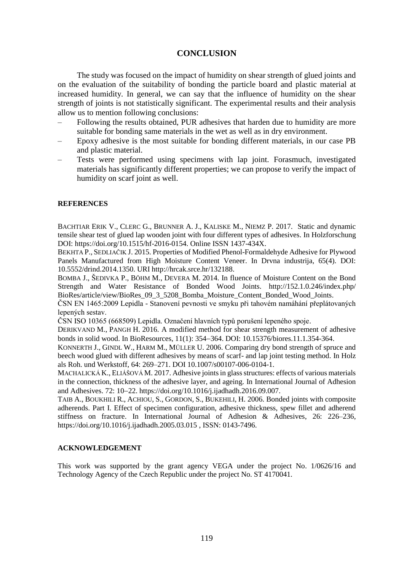## **CONCLUSION**

The study was focused on the impact of humidity on shear strength of glued joints and on the evaluation of the suitability of bonding the particle board and plastic material at increased humidity. In general, we can say that the influence of humidity on the shear strength of joints is not statistically significant. The experimental results and their analysis allow us to mention following conclusions:

- Following the results obtained, PUR adhesives that harden due to humidity are more suitable for bonding same materials in the wet as well as in dry environment.
- Epoxy adhesive is the most suitable for bonding different materials, in our case PB and plastic material.
- Tests were performed using specimens with lap joint. Forasmuch, investigated materials has significantly different properties; we can propose to verify the impact of humidity on scarf joint as well.

### **REFERENCES**

BACHTIAR ERIK V., CLERC G., BRUNNER A. J., KALISKE M., NIEMZ P. 2017. Static and dynamic tensile shear test of glued lap wooden joint with four different types of adhesives. In Holzforschung DOI: [https://doi.org/10.1515/hf-2016-0154.](https://doi.org/10.1515/hf-2016-0154) Online ISSN 1437-434X.

BEKHTA P., SEDLIAČIK J. 2015. Properties of Modified Phenol-Formaldehyde Adhesive for Plywood Panels Manufactured from High Moisture Content Veneer. In Drvna industrija, 65(4). DOI: 10.5552/drind.2014.1350. URI http://hrcak.srce.hr/132188.

BOMBA J., ŠEDIVKA P., BÖHM M., DEVERA M. 2014. In fluence of Moisture Content on the Bond Strength and Water Resistance of Bonded Wood Joints. http://152.1.0.246/index.php/ BioRes/article/view/BioRes\_09\_3\_5208\_Bomba\_Moisture\_Content\_Bonded\_Wood\_Joints.

ČSN EN 1465:2009 Lepidla - Stanovení pevnosti ve smyku při tahovém namáhání přeplátovaných lepených sestav.

ČSN ISO 10365 (668509) Lepidla. Označení hlavních typů porušení lepeného spoje.

DERIKVAND M., PANGH H. 2016. A modified method for shear strength measurement of adhesive bonds in solid wood. In BioResources, 11(1): 354–364. DOI: 10.15376/biores.11.1.354-364.

KONNERTH J., GINDL W., HARM M., MÜLLER U. 2006. Comparing dry bond strength of spruce and beech wood glued with different adhesives by means of scarf- and lap joint testing method. In Holz als Roh. und Werkstoff, 64: 269–271. DOI 10.1007/s00107-006-0104-1.

MACHALICKÁ K., ELIÁŠOVÁ M. 2017. Adhesive joints in glass structures: effects of various materials in the connection, thickness of the adhesive layer, and ageing. In International Journal of Adhesion and Adhesives. 72: 10–22. https://doi.org/10.1016/j.ijadhadh.2016.09.007.

TAIB A., BOUKHILI R., ACHIOU, S., GORDON, S., BUKEHILI, H. 2006. Bonded joints with composite adherends. Part I. Effect of specimen configuration, adhesive thickness, spew fillet and adherend stiffness on fracture. In International Journal of Adhesion & Adhesives, 26: 226–236, <https://doi.org/10.1016/j.ijadhadh.2005.03.015> , ISSN: 0143-7496.

### **ACKNOWLEDGEMENT**

This work was supported by the grant agency VEGA under the project No. 1/0626/16 and Technology Agency of the Czech Republic under the project No. ST 4170041.